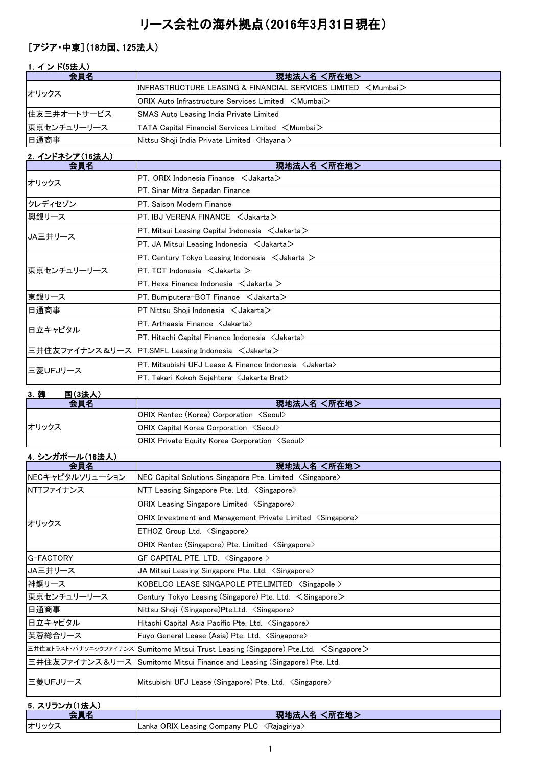## リース会社の海外拠点(2016年3月31日現在)

## [アジア・中東](18カ国、125法人)

| 1. インド(5法人) |                                                                                                                 |
|-------------|-----------------------------------------------------------------------------------------------------------------|
| 会員名         | 現地法人名 <所在地>                                                                                                     |
| オリックス       | $\,$ IINFRASTRUCTURE LEASING & FINANCIAL SERVICES LIMITED $\,$ $<$ Mumbai $>$                                   |
|             | <b>ORIX Auto Infrastructure Services Limited <mumbai></mumbai></b>                                              |
| 住友三井オートサービス | <b>SMAS Auto Leasing India Private Limited</b>                                                                  |
| 東京センチュリーリース | $\blacktriangleright$ TATA Capital Financial Services Limited $\blacktriangleleft$ Mumbai $\blacktriangleright$ |
| 日通商事        | Nittsu Shoji India Private Limited <hayana></hayana>                                                            |

## 2.インドネシア(16法人)

| $-1$ – $-1$ – $-1$ , $-1$ , $-1$ , $-1$<br>会員名 | 現地法人名 <所在地>                                                      |
|------------------------------------------------|------------------------------------------------------------------|
| オリックス                                          | $PT.$ ORIX Indonesia Finance $\leq$ Jakarta $\geq$               |
|                                                | PT. Sinar Mitra Sepadan Finance                                  |
| クレディセゾン                                        | PT. Saison Modern Finance                                        |
| 興銀リース                                          | PT. IBJ VERENA FINANCE < Jakarta>                                |
| JA三井リース                                        | PT. Mitsui Leasing Capital Indonesia $\lt$ Jakarta $\gt$         |
|                                                | $PT.$ JA Mitsui Leasing Indonesia $\lt$ Jakarta $\gt$            |
|                                                | PT. Century Tokyo Leasing Indonesia $\lt$ Jakarta $\gt$          |
| 東京センチュリーリース                                    | PT. TCT Indonesia $\lt$ Jakarta $\gt$                            |
|                                                | PT. Hexa Finance Indonesia $\leq$ Jakarta $\geq$                 |
| 東銀リース                                          | PT. Bumiputera-BOT Finance $\lt$ Jakarta $\gt$                   |
| 日通商事                                           | $PT$ Nittsu Shoji Indonesia $\lt$ Jakarta $\gt$                  |
| 日立キャピタル                                        | PT. Arthaasia Finance < Jakarta>                                 |
|                                                | PT. Hitachi Capital Finance Indonesia <jakarta></jakarta>        |
|                                                | 三井住友ファイナンス&リース  PT.SMFL Leasing Indonesia <jakarta></jakarta>    |
| 三菱UFJリース                                       | PT. Mitsubishi UFJ Lease & Finance Indonesia <jakarta></jakarta> |
|                                                | PT. Takari Kokoh Sejahtera <jakarta brat=""></jakarta>           |

## 3.韓 国(3法人)

| 会員名   | 現地法人名 <所在地>                                                  |
|-------|--------------------------------------------------------------|
| オリックス | <b>ORIX Rentec (Korea) Corporation <seoul></seoul></b>       |
|       | <b>ORIX Capital Korea Corporation <seoul></seoul></b>        |
|       | <b>ORIX Private Equity Korea Corporation <seoul></seoul></b> |

## 4.シンガポール(16法人)

| $\frac{1}{2}$ . $\frac{1}{2}$ . $\frac{1}{2}$ . $\frac{1}{2}$ . $\frac{1}{2}$ . $\frac{1}{2}$<br>会員名 | 現地法人名 <所在地>                                                                            |
|------------------------------------------------------------------------------------------------------|----------------------------------------------------------------------------------------|
| NECキャピタルソリューション                                                                                      | NEC Capital Solutions Singapore Pte. Limited <singapore></singapore>                   |
| NTTファイナンス                                                                                            | NTT Leasing Singapore Pte. Ltd. < Singapore>                                           |
|                                                                                                      | ORIX Leasing Singapore Limited <singapore></singapore>                                 |
| オリックス                                                                                                | ORIX Investment and Management Private Limited <singapore></singapore>                 |
|                                                                                                      | $ETHOZ$ Group Ltd. $\langle$ Singapore $\rangle$                                       |
|                                                                                                      | ORIX Rentec (Singapore) Pte. Limited <singapore></singapore>                           |
| G-FACTORY                                                                                            | GF CAPITAL PTE. LTD. $\langle$ Singapore $\rangle$                                     |
| JA三井リース                                                                                              | JA Mitsui Leasing Singapore Pte. Ltd. <singapore></singapore>                          |
| 神鋼リース                                                                                                | KOBELCO LEASE SINGAPOLE PTE.LIMITED <singapole></singapole>                            |
| 東京センチュリーリース                                                                                          | Century Tokyo Leasing (Singapore) Pte. Ltd. $\leq$ Singapore $\geq$                    |
| 日通商事                                                                                                 | Nittsu Shoji (Singapore)Pte.Ltd. <singapore></singapore>                               |
| 日立キャピタル                                                                                              | Hitachi Capital Asia Pacific Pte. Ltd. <singapore></singapore>                         |
| 芙蓉総合リース                                                                                              | Fuyo General Lease (Asia) Pte. Ltd. < Singapore>                                       |
|                                                                                                      | 三井住友トラスト・パナソニックファイナンス Sumitomo Mitsui Trust Leasing (Singapore) Pte.Ltd. < Singapore > |
|                                                                                                      | 三井住友ファイナンス&リース Sumitomo Mitsui Finance and Leasing (Singapore) Pte. Ltd.               |
| 三菱UFJリース                                                                                             | Mitsubishi UFJ Lease (Singapore) Pte. Ltd. <singapore></singapore>                     |
| 5 スリランカ(1法人)                                                                                         |                                                                                        |

| $\mathsf{v}$ . $\mathsf{v}$ |                                                |
|-----------------------------|------------------------------------------------|
|                             | 所在地<br>垷地法                                     |
| オリックス                       | Lanka ORIX Leasing Company PLC<br>〈Rajagiriya〉 |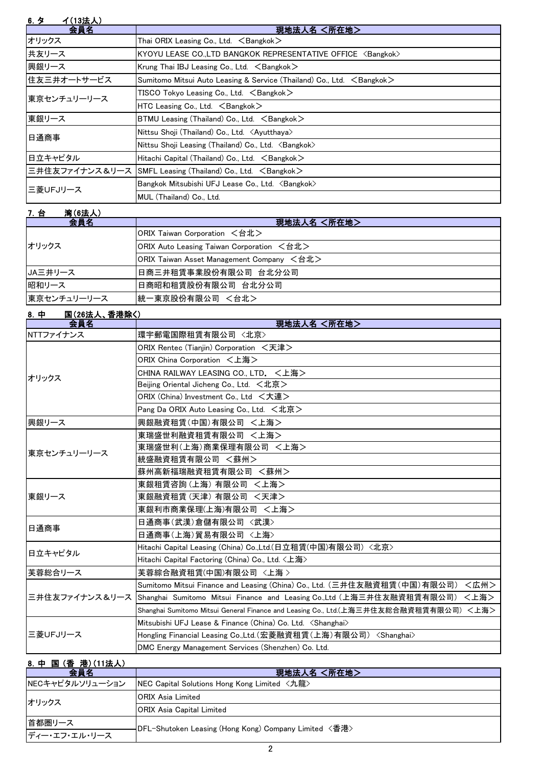| 6. $5^{\circ}$<br>イ(13法人) |                                                                                 |
|---------------------------|---------------------------------------------------------------------------------|
| 会員名                       | 現地法人名 <所在地>                                                                     |
| オリックス                     | Thai ORIX Leasing Co., Ltd. $\leq$ Bangkok $>$                                  |
| 共友リース                     | KYOYU LEASE CO.,LTD BANGKOK REPRESENTATIVE OFFICE <bangkok></bangkok>           |
| 興銀リース                     | Krung Thai IBJ Leasing Co., Ltd. $\leq$ Bangkok $\geq$                          |
| 住友三井オートサービス               | Sumitomo Mitsui Auto Leasing & Service (Thailand) Co., Ltd. <bangkok></bangkok> |
| 東京センチュリーリース               | TISCO Tokyo Leasing Co., Ltd. ∠Bangkok>                                         |
|                           | HTC Leasing Co., Ltd. $\leq$ Bangkok $>$                                        |
| 東銀リース                     | BTMU Leasing (Thailand) Co., Ltd. $\leq$ Bangkok $\geq$                         |
|                           | Nittsu Shoji (Thailand) Co., Ltd. <ayutthaya></ayutthaya>                       |
| 日通商事                      | Nittsu Shoji Leasing (Thailand) Co., Ltd. <bangkok></bangkok>                   |
| 日立キャピタル                   | Hitachi Capital (Thailand) Co., Ltd. $\leq$ Bangkok $>$                         |
|                           | 三井住友ファイナンス&リース SMFL Leasing (Thailand) Co., Ltd. <bangkok></bangkok>            |
| 三菱UFJリース                  | Bangkok Mitsubishi UFJ Lease Co., Ltd. <bangkok></bangkok>                      |
|                           | MUL (Thailand) Co., Ltd.                                                        |

| <b>湾(6法人)</b><br>7. 台 |                                           |
|-----------------------|-------------------------------------------|
| 会員名                   | 現地法人名 <所在地>                               |
| オリックス                 | ORIX Taiwan Corporation <台北>              |
|                       | ORIX Auto Leasing Taiwan Corporation <台北> |
|                       | ORIX Taiwan Asset Management Company <台北> |
| JA三井リース               | 日商三井租賃事業股份有限公司 台北分公司                      |
| 昭和リース                 | 日商昭和租賃股份有限公司 台北分公司                        |
| 東京センチュリーリース           | 統一東京股份有限公司 <台北>                           |

| 国(26法人、香港除く) |
|--------------|
|--------------|

| .<br>会員名    | 現地法人名 <所在地>                                                                                  |
|-------------|----------------------------------------------------------------------------------------------|
| NTTファイナンス   | 環宇郵電国際租賃有限公司 〈北京〉                                                                            |
|             | ORIX Rentec (Tianjin) Corporation <天津>                                                       |
|             | ORIX China Corporation <上海>                                                                  |
| オリックス       | CHINA RAILWAY LEASING CO., LTD. <上海>                                                         |
|             | Beijing Oriental Jicheng Co., Ltd. $\lt t$ 北京 $>$                                            |
|             | ORIX (China) Investment Co., Ltd <大連>                                                        |
|             | Pang Da ORIX Auto Leasing Co., Ltd. <北京>                                                     |
| 興銀リース       | 興銀融資租賃(中国)有限公司 <上海>                                                                          |
|             | 東瑞盛世利融資租賃有限公司 <上海>                                                                           |
| 東京センチュリーリース | 東瑞盛世利(上海)商業保理有限公司 <上海>                                                                       |
|             | 統盛融資租賃有限公司 <蘇州>                                                                              |
|             | 蘇州高新福瑞融資租賃有限公司 <蘇州>                                                                          |
|             | 東銀租賃咨詢(上海) 有限公司 <上海>                                                                         |
| 東銀リース       | 東銀融資租賃(天津) 有限公司 <天津>                                                                         |
|             | 東銀利市商業保理(上海)有限公司 <上海>                                                                        |
| 日通商事        | 日通商事(武漢)倉儲有限公司 〈武漢〉                                                                          |
|             | 日通商事(上海)貿易有限公司 <上海>                                                                          |
| 日立キャピタル     | Hitachi Capital Leasing (China) Co.,Ltd.(日立租賃(中国)有限公司)〈北京〉                                   |
|             | Hitachi Capital Factoring (China) Co., Ltd. <上海>                                             |
| 芙蓉総合リース     | 芙蓉綜合融資租賃(中国)有限公司 〈上海 〉                                                                       |
|             | Sumitomo Mitsui Finance and Leasing (China) Co., Ltd. (三井住友融資租賃(中国)有限公司) <広州>                |
|             | 三井住友ファイナンス&リース Shanghai Sumitomo Mitsui Finance and Leasing Co.,Ltd (上海三井住友融資租賃有限公司)<br><上海> |
|             | Shanghai Sumitomo Mitsui General Finance and Leasing Co., Ltd.(上海三井住友総合融資租賃有限公司)<上海>         |
|             | Mitsubishi UFJ Lease & Finance (China) Co. Ltd. <shanghai></shanghai>                        |
| 三菱UFJリース    | Hongling Financial Leasing Co.,Ltd.(宏菱融資租賃(上海)有限公司) <shanghai></shanghai>                    |
|             | DMC Energy Management Services (Shenzhen) Co. Ltd.                                           |

## 8.中 国 (香 港)(11法人)

| 会員名             | 現地法人名 <所在地>                                            |
|-----------------|--------------------------------------------------------|
| NECキャピタルソリューション | NEC Capital Solutions Hong Kong Limited <九龍>           |
| オリックス           | <b>ORIX Asia Limited</b>                               |
|                 | ORIX Asia Capital Limited                              |
| 首都圏リース          | +DFL-Shutoken Leasing (Hong Kong) Company Limited 〈香港〉 |
| ディー・エフ・エル・リース   |                                                        |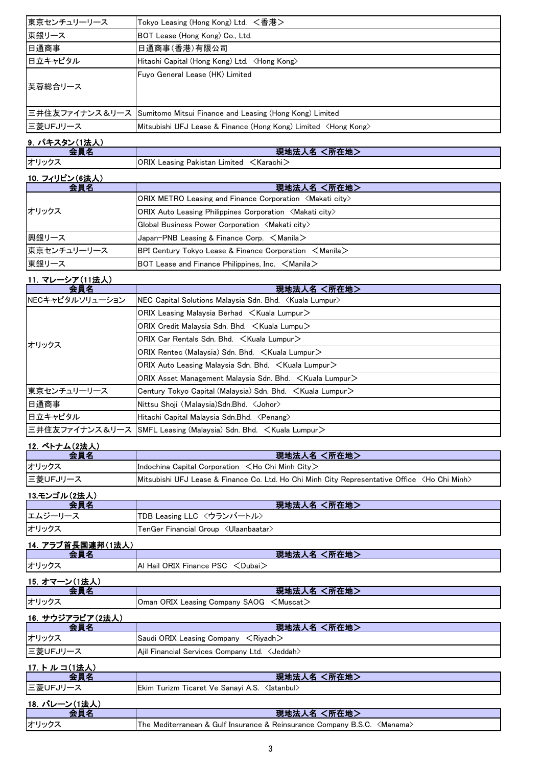| 東京センチュリーリース | Tokyo Leasing (Hong Kong) Ltd. <香港>                                      |
|-------------|--------------------------------------------------------------------------|
| 東銀リース       | BOT Lease (Hong Kong) Co., Ltd.                                          |
| 日通商事        | 日通商事(香港)有限公司                                                             |
| 日立キャピタル     | Hitachi Capital (Hong Kong) Ltd. <hong kong=""></hong>                   |
| 芙蓉総合リース     | Fuyo General Lease (HK) Limited                                          |
|             | 三井住友ファイナンス&リース Sumitomo Mitsui Finance and Leasing (Hong Kong) Limited   |
| 三菱UFJリース    | Mitsubishi UFJ Lease & Finance (Hong Kong) Limited <hong kong=""></hong> |
|             |                                                                          |

現地法人名 <所在地>

# <mark>タン(1法人</mark>)<br><mark>一会員名</mark>

オリックス ORIX Leasing Pakistan Limited <Karachi>

### 10.フィリピン(6法人)

| 会員名         | 現地法人名 <所在地>                                                                                       |
|-------------|---------------------------------------------------------------------------------------------------|
| オリックス       | $ ORIX$ METRO Leasing and Finance Corporation $\langle M\$ akati city $\rangle$                   |
|             | <b>ORIX Auto Leasing Philippines Corporation <makati city=""></makati></b>                        |
|             | Global Business Power Corporation <makati city=""></makati>                                       |
| 興銀リース       | Japan-PNB Leasing & Finance Corp. $\leq$ Manila $\geq$                                            |
| 東京センチュリーリース | <b>BPI Century Tokyo Lease &amp; Finance Corporation <math>\leq</math>Manila<math>\geq</math></b> |
| 東銀リース       | BOT Lease and Finance Philippines, Inc. $\leq$ Manila $\geq$                                      |

#### 11.マレーシア(11法人)

| 会員名             | 現地法人名 <所在地>                                                                |  |  |  |  |  |
|-----------------|----------------------------------------------------------------------------|--|--|--|--|--|
| NECキャピタルソリューション | NEC Capital Solutions Malaysia Sdn. Bhd. <kuala lumpur=""></kuala>         |  |  |  |  |  |
|                 | ORIX Leasing Malaysia Berhad $\leq$ Kuala Lumpur $\geq$                    |  |  |  |  |  |
|                 | ORIX Credit Malaysia Sdn. Bhd. < Kuala Lumpu>                              |  |  |  |  |  |
| オリックス           | ORIX Car Rentals Sdn. Bhd. < Kuala Lumpur>                                 |  |  |  |  |  |
|                 | ORIX Rentec (Malaysia) Sdn. Bhd. < Kuala Lumpur>                           |  |  |  |  |  |
|                 | ORIX Auto Leasing Malaysia Sdn. Bhd. < Kuala Lumpur>                       |  |  |  |  |  |
|                 | ORIX Asset Management Malaysia Sdn. Bhd. < Kuala Lumpur>                   |  |  |  |  |  |
| 東京センチュリーリース     | Century Tokyo Capital (Malaysia) Sdn. Bhd. < Kuala Lumpur>                 |  |  |  |  |  |
| 日通商事            | Nittsu Shoji (Malaysia) Sdn. Bhd. < Johor>                                 |  |  |  |  |  |
| 日立キャピタル         | Hitachi Capital Malaysia Sdn.Bhd. <penang></penang>                        |  |  |  |  |  |
|                 | 三井住友ファイナンス&リース SMFL Leasing (Malaysia) Sdn. Bhd. <kuala lumpur=""></kuala> |  |  |  |  |  |

# 12. ベトナム(2法人)

| 会員名      | 現地法人名 <所在地>                                                                                                         |  |  |  |  |
|----------|---------------------------------------------------------------------------------------------------------------------|--|--|--|--|
| オリックス    | Indochina Capital Corporation $\leq$ Ho Chi Minh City $\geq$                                                        |  |  |  |  |
| 三菱UFJリース | <b>IMitsubishi UFJ Lease &amp; Finance Co. Ltd. Ho Chi Minh City Representative Office <ho chi="" minh=""></ho></b> |  |  |  |  |

#### <u>13.モンゴル(2法人)</u><br>会員名 現地法人名 <所在地> エムジーリース TDB Leasing LLC <ウランバートル> オリックス TenGer Financial Group <Ulaanbaatar>

#### 14.アラブ首長国連邦(1法人) 現地法人名 <所在地> オリックス Al Hail ORIX Finance PSC <Dubai> 15.オマーン(1法人)

| 会員名              | 現地法人名 <所在地>                                                                  |  |  |  |  |
|------------------|------------------------------------------------------------------------------|--|--|--|--|
| オリックス            | <b>Oman ORIX Leasing Company SAOG <math>\lt</math>Muscat<math>\gt</math></b> |  |  |  |  |
| 16. サウジアラビア(2法人) |                                                                              |  |  |  |  |
| 会員名              | <所在地><br>現地法人名                                                               |  |  |  |  |

## オリックス Saudi ORIX Leasing Company <Riyadh> 三菱UFJリース Ajil Financial Services Company Ltd. <Jeddah> <u>17.トルコ(1法人)</u><br>会員名 現地法人名 <所在地><br>ht )/s Sanari A.S. *(Istan*but)

| 三菱UFJリース      | Ekim Turizm Ticaret Ve Sanayi A.S. <istanbul></istanbul>                  |
|---------------|---------------------------------------------------------------------------|
| 18. バレーン(1法人) |                                                                           |
| 会員名           | ■現地法人名 <所在地>                                                              |
| オリックス         | The Mediterranean & Gulf Insurance & Reinsurance Company B.S.C. < Manama> |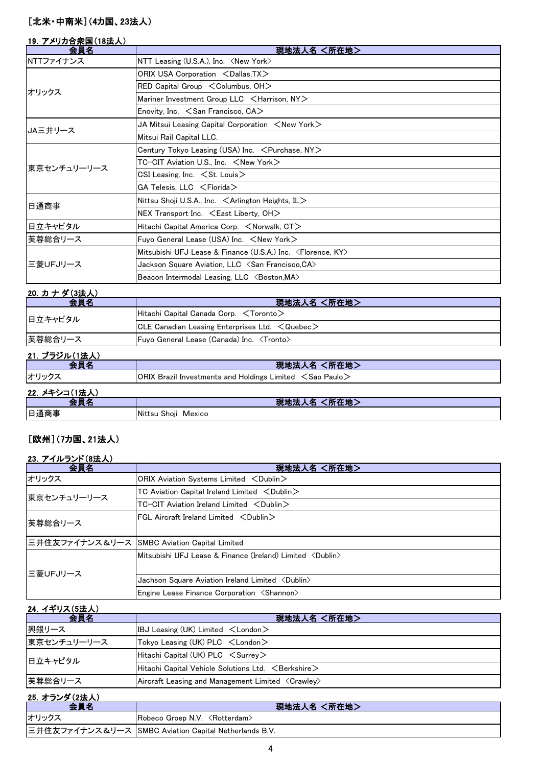#### [北米・中南米](4カ国、23法人)

#### 19.アメリカ合衆国(18法人)

| 会員名         | 現地法人名 <所在地>                                                                |  |  |  |  |
|-------------|----------------------------------------------------------------------------|--|--|--|--|
| NTTファイナンス   | NTT Leasing (U.S.A.), Inc. <new york=""></new>                             |  |  |  |  |
|             | ORIX USA Corporation <dallas, tx=""></dallas,>                             |  |  |  |  |
| オリックス       | $RED$ Capital Group $\leq$ Columbus, OH $>$                                |  |  |  |  |
|             | Mariner Investment Group LLC <harrison, ny=""></harrison,>                 |  |  |  |  |
|             | Enovity, Inc. $\le$ San Francisco, CA $>$                                  |  |  |  |  |
| JA三井リース     | JA Mitsui Leasing Capital Corporation $\,$ $\,<$ New York $\,>$            |  |  |  |  |
|             | Mitsui Rail Capital LLC.                                                   |  |  |  |  |
|             | Century Tokyo Leasing (USA) Inc. $\,$ $<$ Purchase, NY $>$                 |  |  |  |  |
| 東京センチュリーリース | TC-CIT Aviation U.S., Inc. <new york=""></new>                             |  |  |  |  |
|             | CSI Leasing, Inc. $\leq$ St. Louis $>$                                     |  |  |  |  |
|             | $GA$ Telesis, LLC $\leq$ Florida $>$                                       |  |  |  |  |
| 日通商事        | Nittsu Shoji U.S.A., Inc. $\leq$ Arlington Heights, IL $>$                 |  |  |  |  |
|             | NEX Transport Inc. $\leq$ East Liberty, OH $>$                             |  |  |  |  |
| 日立キャピタル     | Hitachi Capital America Corp. <norwalk, ct=""></norwalk,>                  |  |  |  |  |
| 芙蓉総合リース     | Fuyo General Lease (USA) Inc. <new york=""></new>                          |  |  |  |  |
|             | Mitsubishi UFJ Lease & Finance (U.S.A.) Inc. <florence, ky=""></florence,> |  |  |  |  |
| 三菱UFJリース    | Jackson Square Aviation, LLC $\,$ $\leq$ San Francisco,CA $\geq$           |  |  |  |  |
|             | Beacon Intermodal Leasing, LLC <boston, ma=""></boston,>                   |  |  |  |  |

| 20. カナダ(3法人)        |                                                               |
|---------------------|---------------------------------------------------------------|
| 会員名                 | 現地法人名 <所在地>                                                   |
| 日立キャピタル             | Hitachi Capital Canada Corp. <toronto></toronto>              |
|                     | $ CLE$ Canadian Leasing Enterprises Ltd. $\leq$ Quebec $\geq$ |
| 芙蓉総合リース             | Fuyo General Lease (Canada) Inc. <tronto></tronto>            |
| - 21. ブラジル (1法 人) - |                                                               |

| 21. ノフンル(1本人) <br>会員名 | 現地法人名 <所在地>                                                             |  |  |  |  |  |
|-----------------------|-------------------------------------------------------------------------|--|--|--|--|--|
| オリックス                 | $ ORIX$ Brazil Investments and Holdings Limited $\leq$ Sao Paulo $\geq$ |  |  |  |  |  |
| 22. メキシコ(1法人)         |                                                                         |  |  |  |  |  |
| $\sim$ $\sim$         |                                                                         |  |  |  |  |  |

| ----<br>$\cdots$ |                                                                              |  |  |  |
|------------------|------------------------------------------------------------------------------|--|--|--|
| .                | المستقصر<br>Pл.<br>.<br>- 77<br>$\sim$ . The second state $\sim$<br>- 5<br>. |  |  |  |
| 日通商事             | Shoji<br><b>Nittsu</b><br>Mexico                                             |  |  |  |

## [欧州](7カ国、21法人)

#### 23. アイルランド(8法人)

| 会員名                                          | 現地法人名 <所在地>                                                                     |  |  |  |  |  |
|----------------------------------------------|---------------------------------------------------------------------------------|--|--|--|--|--|
| オリックス                                        | ORIX Aviation Systems Limited <dublin></dublin>                                 |  |  |  |  |  |
| 東京センチュリーリース                                  | TC Aviation Capital Ireland Limited $\langle$ Dublin $\rangle$                  |  |  |  |  |  |
|                                              | $TC-CIT$ Aviation Ireland Limited $\langle$ Dublin $\rangle$                    |  |  |  |  |  |
| 芙蓉総合リース                                      | FGL Aircraft Ireland Limited $\langle$ Dublin $\rangle$                         |  |  |  |  |  |
| 三井住友ファイナンス&リース SMBC Aviation Capital Limited |                                                                                 |  |  |  |  |  |
| 三菱UFJリース                                     | $ $ Mitsubishi UFJ Lease & Finance (Ireland) Limited $\langle$ Dublin $\rangle$ |  |  |  |  |  |
|                                              | Jachson Square Aviation Ireland Limited <dublin></dublin>                       |  |  |  |  |  |
|                                              | Engine Lease Finance Corporation <shannon></shannon>                            |  |  |  |  |  |

| 24. イギリス(5法人) |                                                             |  |  |  |  |
|---------------|-------------------------------------------------------------|--|--|--|--|
| 会員名           | 現地法人名 <所在地>                                                 |  |  |  |  |
| 興銀リース         | IBJ Leasing (UK) Limited $\lt$ London $\gt$                 |  |  |  |  |
| 東京センチュリーリース   | Tokyo Leasing (UK) PLC $\lt$ London $\gt$                   |  |  |  |  |
| 日立キャピタル       | Hitachi Capital (UK) $PLC <$ Surrey $>$                     |  |  |  |  |
|               | Hitachi Capital Vehicle Solutions Ltd. $\, <$ Berkshire $>$ |  |  |  |  |
| 芙蓉総合リース       | Aircraft Leasing and Management Limited <crawley></crawley> |  |  |  |  |

#### 25.オランダ(2法人)

| 会員名   | 現地法人名 <所在地>                                                       |  |  |  |  |
|-------|-------------------------------------------------------------------|--|--|--|--|
| オリックス | $\mathsf{Robeco}$ Groep N.V. $\langle \mathsf{Rotterdam} \rangle$ |  |  |  |  |
|       | 三井住友ファイナンス&リース SMBC Aviation Capital Netherlands B.V.             |  |  |  |  |